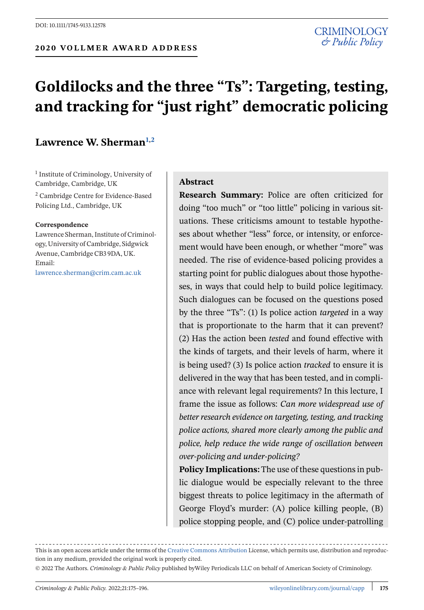#### **2020 VOLLMER AWARD ADDRESS**

### **CRIMINOLOGY**  $E$  Public Policy

# **Goldilocks and the three "Ts": Targeting, testing, and tracking for "just right" democratic policing**

# **Lawrence W. Sherman1,2**

<sup>1</sup> Institute of Criminology, University of Cambridge, Cambridge, UK

<sup>2</sup> Cambridge Centre for Evidence-Based Policing Ltd., Cambridge, UK

#### **Correspondence**

Lawrence Sherman, Institute of Criminology, University of Cambridge, Sidgwick Avenue, Cambridge CB3 9DA, UK. Email: [lawrence.sherman@crim.cam.ac.uk](mailto:lawrence.sherman@crim.cam.ac.uk)

#### **Abstract**

**Research Summary:** Police are often criticized for doing "too much" or "too little" policing in various situations. These criticisms amount to testable hypotheses about whether "less" force, or intensity, or enforcement would have been enough, or whether "more" was needed. The rise of evidence-based policing provides a starting point for public dialogues about those hypotheses, in ways that could help to build police legitimacy. Such dialogues can be focused on the questions posed by the three "Ts": (1) Is police action *targeted* in a way that is proportionate to the harm that it can prevent? (2) Has the action been *tested* and found effective with the kinds of targets, and their levels of harm, where it is being used? (3) Is police action *tracked* to ensure it is delivered in the way that has been tested, and in compliance with relevant legal requirements? In this lecture, I frame the issue as follows: *Can more widespread use of better research evidence on targeting, testing, and tracking police actions, shared more clearly among the public and police, help reduce the wide range of oscillation between over-policing and under-policing?*

**Policy Implications:** The use of these questions in public dialogue would be especially relevant to the three biggest threats to police legitimacy in the aftermath of George Floyd's murder: (A) police killing people, (B) police stopping people, and (C) police under-patrolling

This is an open access article under the terms of the [Creative Commons Attribution](http://creativecommons.org/licenses/by/4.0/) License, which permits use, distribution and reproduction in any medium, provided the original work is properly cited.

<sup>© 2022</sup> The Authors. *Criminology & Public Policy* published byWiley Periodicals LLC on behalf of American Society of Criminology.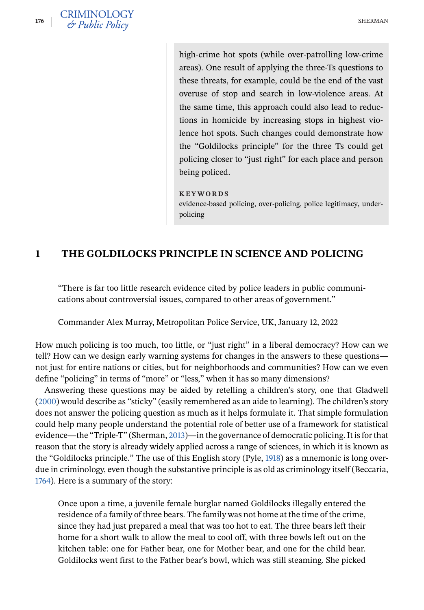high-crime hot spots (while over-patrolling low-crime areas). One result of applying the three-Ts questions to these threats, for example, could be the end of the vast overuse of stop and search in low-violence areas. At the same time, this approach could also lead to reductions in homicide by increasing stops in highest violence hot spots. Such changes could demonstrate how the "Goldilocks principle" for the three Ts could get policing closer to "just right" for each place and person being policed.

#### **KEYWORDS**

evidence-based policing, over-policing, police legitimacy, underpolicing

#### **1 THE GOLDILOCKS PRINCIPLE IN SCIENCE AND POLICING**

"There is far too little research evidence cited by police leaders in public communications about controversial issues, compared to other areas of government."

Commander Alex Murray, Metropolitan Police Service, UK, January 12, 2022

How much policing is too much, too little, or "just right" in a liberal democracy? How can we tell? How can we design early warning systems for changes in the answers to these questions not just for entire nations or cities, but for neighborhoods and communities? How can we even define "policing" in terms of "more" or "less," when it has so many dimensions?

Answering these questions may be aided by retelling a children's story, one that Gladwell [\(2000\)](#page-19-0) would describe as "sticky" (easily remembered as an aide to learning). The children's story does not answer the policing question as much as it helps formulate it. That simple formulation could help many people understand the potential role of better use of a framework for statistical evidence—the "Triple-T" (Sherman, [2013\)](#page-20-0)—in the governance of democratic policing. It is for that reason that the story is already widely applied across a range of sciences, in which it is known as the "Goldilocks principle." The use of this English story (Pyle, [1918\)](#page-19-0) as a mnemonic is long overdue in criminology, even though the substantive principle is as old as criminology itself (Beccaria, [1764\)](#page-18-0). Here is a summary of the story:

Once upon a time, a juvenile female burglar named Goldilocks illegally entered the residence of a family of three bears. The family was not home at the time of the crime, since they had just prepared a meal that was too hot to eat. The three bears left their home for a short walk to allow the meal to cool off, with three bowls left out on the kitchen table: one for Father bear, one for Mother bear, and one for the child bear. Goldilocks went first to the Father bear's bowl, which was still steaming. She picked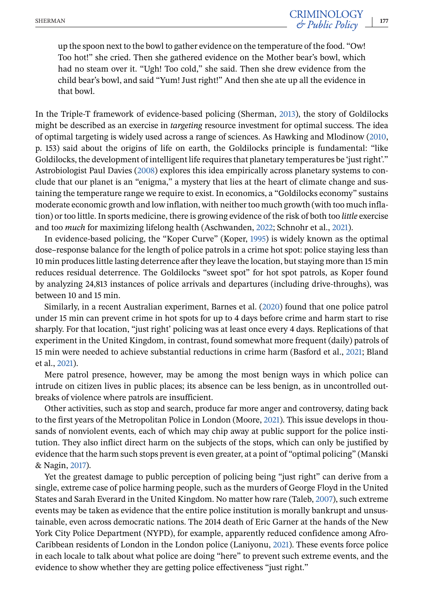up the spoon next to the bowl to gather evidence on the temperature of the food. "Ow! Too hot!" she cried. Then she gathered evidence on the Mother bear's bowl, which had no steam over it. "Ugh! Too cold," she said. Then she drew evidence from the child bear's bowl, and said "Yum! Just right!" And then she ate up all the evidence in that bowl.

In the Triple-T framework of evidence-based policing (Sherman, [2013\)](#page-20-0), the story of Goldilocks might be described as an exercise in *targeting* resource investment for optimal success. The idea of optimal targeting is widely used across a range of sciences. As Hawking and Mlodinow [\(2010,](#page-19-0) p. 153) said about the origins of life on earth, the Goldilocks principle is fundamental: "like Goldilocks, the development of intelligent life requires that planetary temperatures be 'just right'." Astrobiologist Paul Davies [\(2008\)](#page-18-0) explores this idea empirically across planetary systems to conclude that our planet is an "enigma," a mystery that lies at the heart of climate change and sustaining the temperature range we require to exist. In economics, a "Goldilocks economy" sustains moderate economic growth and low inflation, with neither too much growth (with too much inflation) or too little. In sports medicine, there is growing evidence of the risk of both too *little* exercise and too *much* for maximizing lifelong health (Aschwanden, [2022;](#page-18-0) Schnohr et al., [2021\)](#page-20-0).

In evidence-based policing, the "Koper Curve" (Koper, [1995\)](#page-19-0) is widely known as the optimal dose–response balance for the length of police patrols in a crime hot spot: police staying less than 10 min produces little lasting deterrence after they leave the location, but staying more than 15 min reduces residual deterrence. The Goldilocks "sweet spot" for hot spot patrols, as Koper found by analyzing 24,813 instances of police arrivals and departures (including drive-throughs), was between 10 and 15 min.

Similarly, in a recent Australian experiment, Barnes et al. [\(2020\)](#page-18-0) found that one police patrol under 15 min can prevent crime in hot spots for up to 4 days before crime and harm start to rise sharply. For that location, "just right' policing was at least once every 4 days. Replications of that experiment in the United Kingdom, in contrast, found somewhat more frequent (daily) patrols of 15 min were needed to achieve substantial reductions in crime harm (Basford et al., [2021;](#page-18-0) Bland et al., [2021\)](#page-18-0).

Mere patrol presence, however, may be among the most benign ways in which police can intrude on citizen lives in public places; its absence can be less benign, as in uncontrolled outbreaks of violence where patrols are insufficient.

Other activities, such as stop and search, produce far more anger and controversy, dating back to the first years of the Metropolitan Police in London (Moore, [2021\)](#page-19-0). This issue develops in thousands of nonviolent events, each of which may chip away at public support for the police institution. They also inflict direct harm on the subjects of the stops, which can only be justified by evidence that the harm such stops prevent is even greater, at a point of "optimal policing" (Manski & Nagin, [2017\)](#page-19-0).

Yet the greatest damage to public perception of policing being "just right" can derive from a single, extreme case of police harming people, such as the murders of George Floyd in the United States and Sarah Everard in the United Kingdom. No matter how rare (Taleb, [2007\)](#page-20-0), such extreme events may be taken as evidence that the entire police institution is morally bankrupt and unsustainable, even across democratic nations. The 2014 death of Eric Garner at the hands of the New York City Police Department (NYPD), for example, apparently reduced confidence among Afro-Caribbean residents of London in the London police (Laniyonu, [2021\)](#page-19-0). These events force police in each locale to talk about what police are doing "here" to prevent such extreme events, and the evidence to show whether they are getting police effectiveness "just right."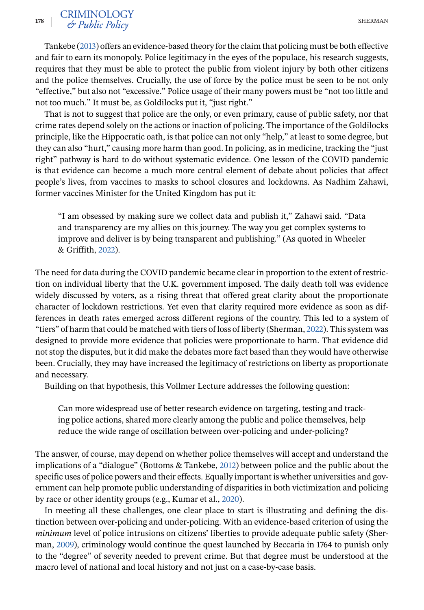Tankebe [\(2013\)](#page-20-0) offers an evidence-based theory for the claim that policing must be both effective and fair to earn its monopoly. Police legitimacy in the eyes of the populace, his research suggests, requires that they must be able to protect the public from violent injury by both other citizens and the police themselves. Crucially, the use of force by the police must be seen to be not only "effective," but also not "excessive." Police usage of their many powers must be "not too little and not too much." It must be, as Goldilocks put it, "just right."

That is not to suggest that police are the only, or even primary, cause of public safety, nor that crime rates depend solely on the actions or inaction of policing. The importance of the Goldilocks principle, like the Hippocratic oath, is that police can not only "help," at least to some degree, but they can also "hurt," causing more harm than good. In policing, as in medicine, tracking the "just right" pathway is hard to do without systematic evidence. One lesson of the COVID pandemic is that evidence can become a much more central element of debate about policies that affect people's lives, from vaccines to masks to school closures and lockdowns. As Nadhim Zahawi, former vaccines Minister for the United Kingdom has put it:

"I am obsessed by making sure we collect data and publish it," Zahawi said. "Data and transparency are my allies on this journey. The way you get complex systems to improve and deliver is by being transparent and publishing." (As quoted in Wheeler & Griffith, [2022\)](#page-20-0).

The need for data during the COVID pandemic became clear in proportion to the extent of restriction on individual liberty that the U.K. government imposed. The daily death toll was evidence widely discussed by voters, as a rising threat that offered great clarity about the proportionate character of lockdown restrictions. Yet even that clarity required more evidence as soon as differences in death rates emerged across different regions of the country. This led to a system of "tiers" of harm that could be matched with tiers of loss of liberty (Sherman, [2022\)](#page-20-0). This system was designed to provide more evidence that policies were proportionate to harm. That evidence did not stop the disputes, but it did make the debates more fact based than they would have otherwise been. Crucially, they may have increased the legitimacy of restrictions on liberty as proportionate and necessary.

Building on that hypothesis, this Vollmer Lecture addresses the following question:

Can more widespread use of better research evidence on targeting, testing and tracking police actions, shared more clearly among the public and police themselves, help reduce the wide range of oscillation between over-policing and under-policing?

The answer, of course, may depend on whether police themselves will accept and understand the implications of a "dialogue" (Bottoms & Tankebe, [2012\)](#page-18-0) between police and the public about the specific uses of police powers and their effects. Equally important is whether universities and government can help promote public understanding of disparities in both victimization and policing by race or other identity groups (e.g., Kumar et al., [2020\)](#page-19-0).

In meeting all these challenges, one clear place to start is illustrating and defining the distinction between over-policing and under-policing. With an evidence-based criterion of using the *minimum* level of police intrusions on citizens' liberties to provide adequate public safety (Sherman, [2009\)](#page-20-0), criminology would continue the quest launched by Beccaria in 1764 to punish only to the "degree" of severity needed to prevent crime. But that degree must be understood at the macro level of national and local history and not just on a case-by-case basis.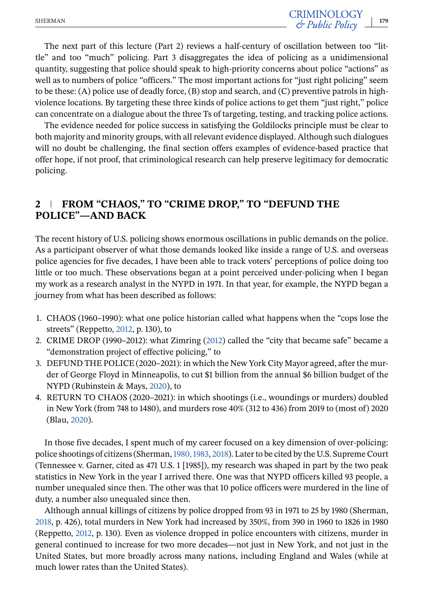The next part of this lecture (Part 2) reviews a half-century of oscillation between too "little" and too "much" policing. Part 3 disaggregates the idea of policing as a unidimensional quantity, suggesting that police should speak to high-priority concerns about police "actions" as well as to numbers of police "officers." The most important actions for "just right policing" seem to be these: (A) police use of deadly force, (B) stop and search, and (C) preventive patrols in highviolence locations. By targeting these three kinds of police actions to get them "just right," police can concentrate on a dialogue about the three Ts of targeting, testing, and tracking police actions.

The evidence needed for police success in satisfying the Goldilocks principle must be clear to both majority and minority groups, with all relevant evidence displayed. Although such dialogues will no doubt be challenging, the final section offers examples of evidence-based practice that offer hope, if not proof, that criminological research can help preserve legitimacy for democratic policing.

## **2 FROM "CHAOS," TO "CRIME DROP," TO "DEFUND THE POLICE"—AND BACK**

The recent history of U.S. policing shows enormous oscillations in public demands on the police. As a participant observer of what those demands looked like inside a range of U.S. and overseas police agencies for five decades, I have been able to track voters' perceptions of police doing too little or too much. These observations began at a point perceived under-policing when I began my work as a research analyst in the NYPD in 1971. In that year, for example, the NYPD began a journey from what has been described as follows:

- 1. CHAOS (1960–1990): what one police historian called what happens when the "cops lose the streets" (Reppetto, [2012,](#page-19-0) p. 130), to
- 2. CRIME DROP (1990–2012): what Zimring [\(2012\)](#page-20-0) called the "city that became safe" became a "demonstration project of effective policing," to
- 3. DEFUND THE POLICE (2020–2021): in which the New York City Mayor agreed, after the murder of George Floyd in Minneapolis, to cut \$1 billion from the annual \$6 billion budget of the NYPD (Rubinstein & Mays, [2020\)](#page-20-0), to
- 4. RETURN TO CHAOS (2020–2021): in which shootings (i.e., woundings or murders) doubled in New York (from 748 to 1480), and murders rose 40% (312 to 436) from 2019 to (most of) 2020 (Blau, [2020\)](#page-18-0).

In those five decades, I spent much of my career focused on a key dimension of over-policing: police shootings of citizens (Sherman,[1980, 1983,](#page-20-0) [2018\)](#page-20-0). Later to be cited by the U.S. Supreme Court (Tennessee v. Garner, cited as 471 U.S. 1 [1985]), my research was shaped in part by the two peak statistics in New York in the year I arrived there. One was that NYPD officers killed 93 people, a number unequaled since then. The other was that 10 police officers were murdered in the line of duty, a number also unequaled since then.

Although annual killings of citizens by police dropped from 93 in 1971 to 25 by 1980 (Sherman, [2018,](#page-20-0) p. 426), total murders in New York had increased by 350%, from 390 in 1960 to 1826 in 1980 (Reppetto, [2012,](#page-19-0) p. 130). Even as violence dropped in police encounters with citizens, murder in general continued to increase for two more decades—not just in New York, and not just in the United States, but more broadly across many nations, including England and Wales (while at much lower rates than the United States).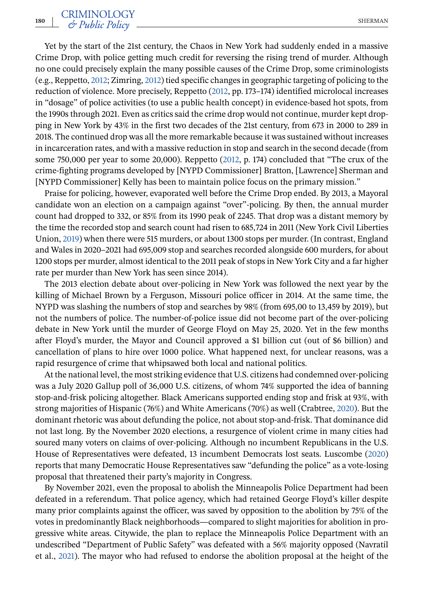Yet by the start of the 21st century, the Chaos in New York had suddenly ended in a massive Crime Drop, with police getting much credit for reversing the rising trend of murder. Although no one could precisely explain the many possible causes of the Crime Drop, some criminologists (e.g., Reppetto, [2012;](#page-19-0) Zimring, [2012\)](#page-20-0) tied specific changes in geographic targeting of policing to the reduction of violence. More precisely, Reppetto [\(2012,](#page-19-0) pp. 173–174) identified microlocal increases in "dosage" of police activities (to use a public health concept) in evidence-based hot spots, from the 1990s through 2021. Even as critics said the crime drop would not continue, murder kept dropping in New York by 43% in the first two decades of the 21st century, from 673 in 2000 to 289 in 2018. The continued drop was all the more remarkable because it was sustained without increases in incarceration rates, and with a massive reduction in stop and search in the second decade (from some 750,000 per year to some 20,000). Reppetto [\(2012,](#page-19-0) p. 174) concluded that "The crux of the crime-fighting programs developed by [NYPD Commissioner] Bratton, [Lawrence] Sherman and [NYPD Commissioner] Kelly has been to maintain police focus on the primary mission."

Praise for policing, however, evaporated well before the Crime Drop ended. By 2013, a Mayoral candidate won an election on a campaign against "over"-policing. By then, the annual murder count had dropped to 332, or 85% from its 1990 peak of 2245. That drop was a distant memory by the time the recorded stop and search count had risen to 685,724 in 2011 (New York Civil Liberties Union, [2019\)](#page-19-0) when there were 515 murders, or about 1300 stops per murder. (In contrast, England and Wales in 2020–2021 had 695,009 stop and searches recorded alongside 600 murders, for about 1200 stops per murder, almost identical to the 2011 peak of stops in New York City and a far higher rate per murder than New York has seen since 2014).

The 2013 election debate about over-policing in New York was followed the next year by the killing of Michael Brown by a Ferguson, Missouri police officer in 2014. At the same time, the NYPD was slashing the numbers of stop and searches by 98% (from 695,00 to 13,459 by 2019), but not the numbers of police. The number-of-police issue did not become part of the over-policing debate in New York until the murder of George Floyd on May 25, 2020. Yet in the few months after Floyd's murder, the Mayor and Council approved a \$1 billion cut (out of \$6 billion) and cancellation of plans to hire over 1000 police. What happened next, for unclear reasons, was a rapid resurgence of crime that whipsawed both local and national politics.

At the national level, the most striking evidence that U.S. citizens had condemned over-policing was a July 2020 Gallup poll of 36,000 U.S. citizens, of whom 74% supported the idea of banning stop-and-frisk policing altogether. Black Americans supported ending stop and frisk at 93%, with strong majorities of Hispanic (76%) and White Americans (70%) as well (Crabtree, [2020\)](#page-18-0). But the dominant rhetoric was about defunding the police, not about stop-and-frisk. That dominance did not last long. By the November 2020 elections, a resurgence of violent crime in many cities had soured many voters on claims of over-policing. Although no incumbent Republicans in the U.S. House of Representatives were defeated, 13 incumbent Democrats lost seats. Luscombe [\(2020\)](#page-19-0) reports that many Democratic House Representatives saw "defunding the police" as a vote-losing proposal that threatened their party's majority in Congress.

By November 2021, even the proposal to abolish the Minneapolis Police Department had been defeated in a referendum. That police agency, which had retained George Floyd's killer despite many prior complaints against the officer, was saved by opposition to the abolition by 75% of the votes in predominantly Black neighborhoods—compared to slight majorities for abolition in progressive white areas. Citywide, the plan to replace the Minneapolis Police Department with an undescribed "Department of Public Safety" was defeated with a 56% majority opposed (Navratil et al., [2021\)](#page-19-0). The mayor who had refused to endorse the abolition proposal at the height of the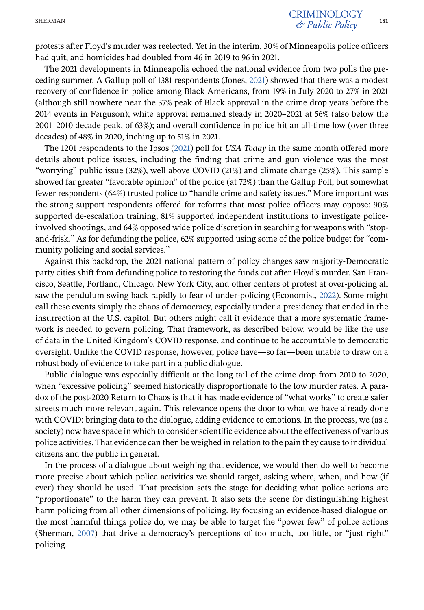protests after Floyd's murder was reelected. Yet in the interim, 30% of Minneapolis police officers had quit, and homicides had doubled from 46 in 2019 to 96 in 2021.

The 2021 developments in Minneapolis echoed the national evidence from two polls the preceding summer. A Gallup poll of 1381 respondents (Jones, [2021\)](#page-19-0) showed that there was a modest recovery of confidence in police among Black Americans, from 19% in July 2020 to 27% in 2021 (although still nowhere near the 37% peak of Black approval in the crime drop years before the 2014 events in Ferguson); white approval remained steady in 2020–2021 at 56% (also below the 2001–2010 decade peak, of 63%); and overall confidence in police hit an all-time low (over three decades) of 48% in 2020, inching up to 51% in 2021.

The 1201 respondents to the Ipsos [\(2021\)](#page-19-0) poll for *USA Today* in the same month offered more details about police issues, including the finding that crime and gun violence was the most "worrying" public issue (32%), well above COVID (21%) and climate change (25%). This sample showed far greater "favorable opinion" of the police (at 72%) than the Gallup Poll, but somewhat fewer respondents (64%) trusted police to "handle crime and safety issues." More important was the strong support respondents offered for reforms that most police officers may oppose: 90% supported de-escalation training, 81% supported independent institutions to investigate policeinvolved shootings, and 64% opposed wide police discretion in searching for weapons with "stopand-frisk." As for defunding the police, 62% supported using some of the police budget for "community policing and social services."

Against this backdrop, the 2021 national pattern of policy changes saw majority-Democratic party cities shift from defunding police to restoring the funds cut after Floyd's murder. San Francisco, Seattle, Portland, Chicago, New York City, and other centers of protest at over-policing all saw the pendulum swing back rapidly to fear of under-policing (Economist, [2022\)](#page-19-0). Some might call these events simply the chaos of democracy, especially under a presidency that ended in the insurrection at the U.S. capitol. But others might call it evidence that a more systematic framework is needed to govern policing. That framework, as described below, would be like the use of data in the United Kingdom's COVID response, and continue to be accountable to democratic oversight. Unlike the COVID response, however, police have—so far—been unable to draw on a robust body of evidence to take part in a public dialogue.

Public dialogue was especially difficult at the long tail of the crime drop from 2010 to 2020, when "excessive policing" seemed historically disproportionate to the low murder rates. A paradox of the post-2020 Return to Chaos is that it has made evidence of "what works" to create safer streets much more relevant again. This relevance opens the door to what we have already done with COVID: bringing data to the dialogue, adding evidence to emotions. In the process, we (as a society) now have space in which to consider scientific evidence about the effectiveness of various police activities. That evidence can then be weighed in relation to the pain they cause to individual citizens and the public in general.

In the process of a dialogue about weighing that evidence, we would then do well to become more precise about which police activities we should target, asking where, when, and how (if ever) they should be used. That precision sets the stage for deciding what police actions are "proportionate" to the harm they can prevent. It also sets the scene for distinguishing highest harm policing from all other dimensions of policing. By focusing an evidence-based dialogue on the most harmful things police do, we may be able to target the "power few" of police actions (Sherman, [2007\)](#page-20-0) that drive a democracy's perceptions of too much, too little, or "just right" policing.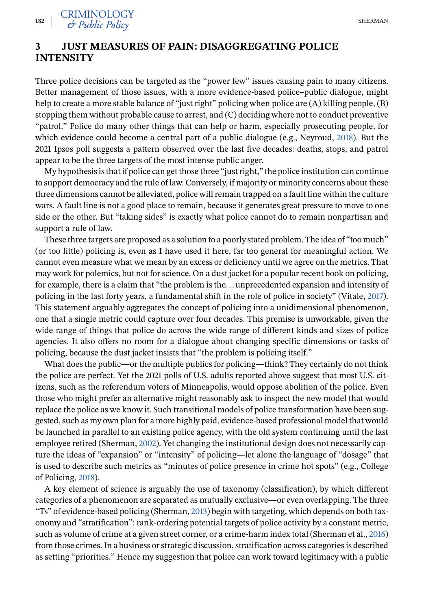# **3 JUST MEASURES OF PAIN: DISAGGREGATING POLICE INTENSITY**

Three police decisions can be targeted as the "power few" issues causing pain to many citizens. Better management of those issues, with a more evidence-based police–public dialogue, might help to create a more stable balance of "just right" policing when police are (A) killing people, (B) stopping them without probable cause to arrest, and (C) deciding where not to conduct preventive "patrol." Police do many other things that can help or harm, especially prosecuting people, for which evidence could become a central part of a public dialogue (e.g., Neyroud, [2018\)](#page-19-0). But the 2021 Ipsos poll suggests a pattern observed over the last five decades: deaths, stops, and patrol appear to be the three targets of the most intense public anger.

My hypothesis is that if police can get those three "just right," the police institution can continue to support democracy and the rule of law. Conversely, if majority or minority concerns about these three dimensions cannot be alleviated, police will remain trapped on a fault line within the culture wars. A fault line is not a good place to remain, because it generates great pressure to move to one side or the other. But "taking sides" is exactly what police cannot do to remain nonpartisan and support a rule of law.

These three targets are proposed as a solution to a poorly stated problem. The idea of "too much" (or too little) policing is, even as I have used it here, far too general for meaningful action. We cannot even measure what we mean by an excess or deficiency until we agree on the metrics. That may work for polemics, but not for science. On a dust jacket for a popular recent book on policing, for example, there is a claim that "the problem is the... unprecedented expansion and intensity of policing in the last forty years, a fundamental shift in the role of police in society" (Vitale, [2017\)](#page-20-0). This statement arguably aggregates the concept of policing into a unidimensional phenomenon, one that a single metric could capture over four decades. This premise is unworkable, given the wide range of things that police do across the wide range of different kinds and sizes of police agencies. It also offers no room for a dialogue about changing specific dimensions or tasks of policing, because the dust jacket insists that "the problem is policing itself."

What does the public—or the multiple publics for policing—think? They certainly do not think the police are perfect. Yet the 2021 polls of U.S. adults reported above suggest that most U.S. citizens, such as the referendum voters of Minneapolis, would oppose abolition of the police. Even those who might prefer an alternative might reasonably ask to inspect the new model that would replace the police as we know it. Such transitional models of police transformation have been suggested, such as my own plan for a more highly paid, evidence-based professional model that would be launched in parallel to an existing police agency, with the old system continuing until the last employee retired (Sherman, [2002\)](#page-20-0). Yet changing the institutional design does not necessarily capture the ideas of "expansion" or "intensity" of policing—let alone the language of "dosage" that is used to describe such metrics as "minutes of police presence in crime hot spots" (e.g., College of Policing, [2018\)](#page-18-0).

A key element of science is arguably the use of taxonomy (classification), by which different categories of a phenomenon are separated as mutually exclusive—or even overlapping. The three "Ts" of evidence-based policing (Sherman, [2013\)](#page-20-0) begin with targeting, which depends on both taxonomy and "stratification": rank-ordering potential targets of police activity by a constant metric, such as volume of crime at a given street corner, or a crime-harm index total (Sherman et al., [2016\)](#page-20-0) from those crimes. In a business or strategic discussion, stratification across categories is described as setting "priorities." Hence my suggestion that police can work toward legitimacy with a public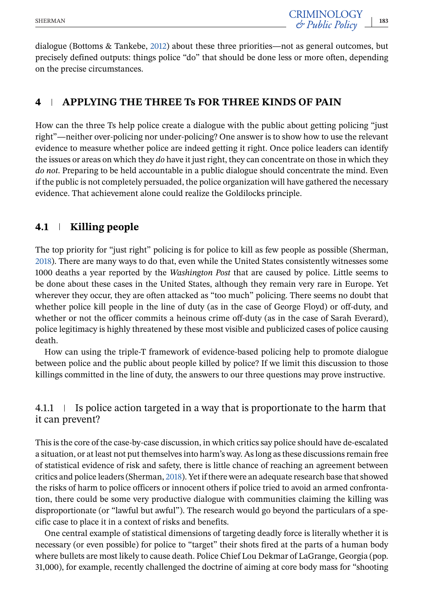dialogue (Bottoms & Tankebe, [2012\)](#page-18-0) about these three priorities—not as general outcomes, but precisely defined outputs: things police "do" that should be done less or more often, depending on the precise circumstances.

# **4 APPLYING THE THREE Ts FOR THREE KINDS OF PAIN**

How can the three Ts help police create a dialogue with the public about getting policing "just right"—neither over-policing nor under-policing? One answer is to show how to use the relevant evidence to measure whether police are indeed getting it right. Once police leaders can identify the issues or areas on which they *do* have it just right, they can concentrate on those in which they *do not*. Preparing to be held accountable in a public dialogue should concentrate the mind. Even if the public is not completely persuaded, the police organization will have gathered the necessary evidence. That achievement alone could realize the Goldilocks principle.

# **4.1 Killing people**

The top priority for "just right" policing is for police to kill as few people as possible (Sherman, [2018\)](#page-20-0). There are many ways to do that, even while the United States consistently witnesses some 1000 deaths a year reported by the *Washington Post* that are caused by police. Little seems to be done about these cases in the United States, although they remain very rare in Europe. Yet wherever they occur, they are often attacked as "too much" policing. There seems no doubt that whether police kill people in the line of duty (as in the case of George Floyd) or off-duty, and whether or not the officer commits a heinous crime off-duty (as in the case of Sarah Everard), police legitimacy is highly threatened by these most visible and publicized cases of police causing death.

How can using the triple-T framework of evidence-based policing help to promote dialogue between police and the public about people killed by police? If we limit this discussion to those killings committed in the line of duty, the answers to our three questions may prove instructive.

# 4.1.1 Is police action targeted in a way that is proportionate to the harm that it can prevent?

This is the core of the case-by-case discussion, in which critics say police should have de-escalated a situation, or at least not put themselves into harm's way. As long as these discussions remain free of statistical evidence of risk and safety, there is little chance of reaching an agreement between critics and police leaders (Sherman, [2018\)](#page-20-0). Yet if there were an adequate research base that showed the risks of harm to police officers or innocent others if police tried to avoid an armed confrontation, there could be some very productive dialogue with communities claiming the killing was disproportionate (or "lawful but awful"). The research would go beyond the particulars of a specific case to place it in a context of risks and benefits.

One central example of statistical dimensions of targeting deadly force is literally whether it is necessary (or even possible) for police to "target" their shots fired at the parts of a human body where bullets are most likely to cause death. Police Chief Lou Dekmar of LaGrange, Georgia (pop. 31,000), for example, recently challenged the doctrine of aiming at core body mass for "shooting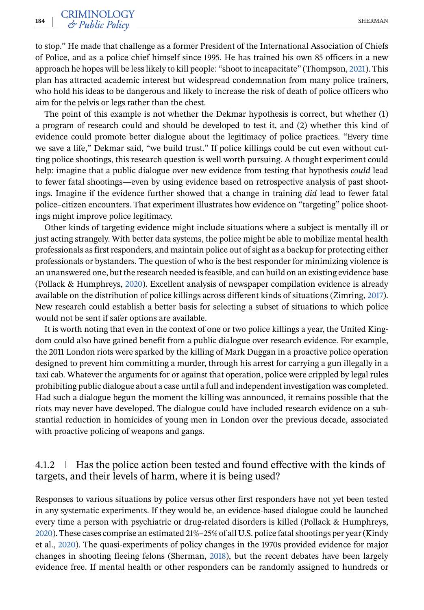to stop." He made that challenge as a former President of the International Association of Chiefs of Police, and as a police chief himself since 1995. He has trained his own 85 officers in a new approach he hopes will be less likely to kill people: "shoot to incapacitate" (Thompson, [2021\)](#page-20-0). This plan has attracted academic interest but widespread condemnation from many police trainers, who hold his ideas to be dangerous and likely to increase the risk of death of police officers who aim for the pelvis or legs rather than the chest.

The point of this example is not whether the Dekmar hypothesis is correct, but whether (1) a program of research could and should be developed to test it, and (2) whether this kind of evidence could promote better dialogue about the legitimacy of police practices. "Every time we save a life," Dekmar said, "we build trust." If police killings could be cut even without cutting police shootings, this research question is well worth pursuing. A thought experiment could help: imagine that a public dialogue over new evidence from testing that hypothesis *could* lead to fewer fatal shootings—even by using evidence based on retrospective analysis of past shootings. Imagine if the evidence further showed that a change in training *did* lead to fewer fatal police–citizen encounters. That experiment illustrates how evidence on "targeting" police shootings might improve police legitimacy.

Other kinds of targeting evidence might include situations where a subject is mentally ill or just acting strangely. With better data systems, the police might be able to mobilize mental health professionals as first responders, and maintain police out of sight as a backup for protecting either professionals or bystanders. The question of who is the best responder for minimizing violence is an unanswered one, but the research needed is feasible, and can build on an existing evidence base (Pollack & Humphreys, [2020\)](#page-19-0). Excellent analysis of newspaper compilation evidence is already available on the distribution of police killings across different kinds of situations (Zimring, [2017\)](#page-20-0). New research could establish a better basis for selecting a subset of situations to which police would not be sent if safer options are available.

It is worth noting that even in the context of one or two police killings a year, the United Kingdom could also have gained benefit from a public dialogue over research evidence. For example, the 2011 London riots were sparked by the killing of Mark Duggan in a proactive police operation designed to prevent him committing a murder, through his arrest for carrying a gun illegally in a taxi cab. Whatever the arguments for or against that operation, police were crippled by legal rules prohibiting public dialogue about a case until a full and independent investigation was completed. Had such a dialogue begun the moment the killing was announced, it remains possible that the riots may never have developed. The dialogue could have included research evidence on a substantial reduction in homicides of young men in London over the previous decade, associated with proactive policing of weapons and gangs.

#### 4.1.2  $\parallel$  Has the police action been tested and found effective with the kinds of targets, and their levels of harm, where it is being used?

Responses to various situations by police versus other first responders have not yet been tested in any systematic experiments. If they would be, an evidence-based dialogue could be launched every time a person with psychiatric or drug-related disorders is killed (Pollack & Humphreys, [2020\)](#page-19-0). These cases comprise an estimated 21%–25% of all U.S. police fatal shootings per year (Kindy et al., [2020\)](#page-19-0). The quasi-experiments of policy changes in the 1970s provided evidence for major changes in shooting fleeing felons (Sherman, [2018\)](#page-20-0), but the recent debates have been largely evidence free. If mental health or other responders can be randomly assigned to hundreds or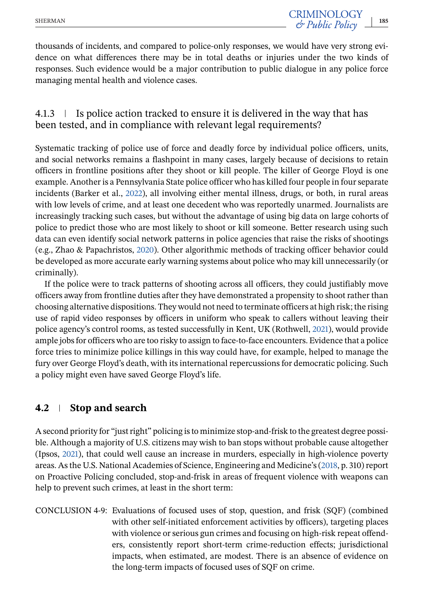thousands of incidents, and compared to police-only responses, we would have very strong evidence on what differences there may be in total deaths or injuries under the two kinds of responses. Such evidence would be a major contribution to public dialogue in any police force managing mental health and violence cases.

#### 4.1.3 Is police action tracked to ensure it is delivered in the way that has been tested, and in compliance with relevant legal requirements?

Systematic tracking of police use of force and deadly force by individual police officers, units, and social networks remains a flashpoint in many cases, largely because of decisions to retain officers in frontline positions after they shoot or kill people. The killer of George Floyd is one example. Another is a Pennsylvania State police officer who has killed four people in four separate incidents (Barker et al., [2022\)](#page-18-0), all involving either mental illness, drugs, or both, in rural areas with low levels of crime, and at least one decedent who was reportedly unarmed. Journalists are increasingly tracking such cases, but without the advantage of using big data on large cohorts of police to predict those who are most likely to shoot or kill someone. Better research using such data can even identify social network patterns in police agencies that raise the risks of shootings (e.g., Zhao & Papachristos, [2020\)](#page-20-0). Other algorithmic methods of tracking officer behavior could be developed as more accurate early warning systems about police who may kill unnecessarily (or criminally).

If the police were to track patterns of shooting across all officers, they could justifiably move officers away from frontline duties after they have demonstrated a propensity to shoot rather than choosing alternative dispositions. They would not need to terminate officers at high risk; the rising use of rapid video responses by officers in uniform who speak to callers without leaving their police agency's control rooms, as tested successfully in Kent, UK (Rothwell, [2021\)](#page-20-0), would provide ample jobs for officers who are too risky to assign to face-to-face encounters. Evidence that a police force tries to minimize police killings in this way could have, for example, helped to manage the fury over George Floyd's death, with its international repercussions for democratic policing. Such a policy might even have saved George Floyd's life.

### **4.2 Stop and search**

A second priority for "just right" policing is to minimize stop-and-frisk to the greatest degree possible. Although a majority of U.S. citizens may wish to ban stops without probable cause altogether (Ipsos, [2021\)](#page-19-0), that could well cause an increase in murders, especially in high-violence poverty areas. As the U.S. National Academies of Science, Engineering and Medicine's [\(2018,](#page-19-0) p. 310) report on Proactive Policing concluded, stop-and-frisk in areas of frequent violence with weapons can help to prevent such crimes, at least in the short term:

CONCLUSION 4-9: Evaluations of focused uses of stop, question, and frisk (SQF) (combined with other self-initiated enforcement activities by officers), targeting places with violence or serious gun crimes and focusing on high-risk repeat offenders, consistently report short-term crime-reduction effects; jurisdictional impacts, when estimated, are modest. There is an absence of evidence on the long-term impacts of focused uses of SQF on crime.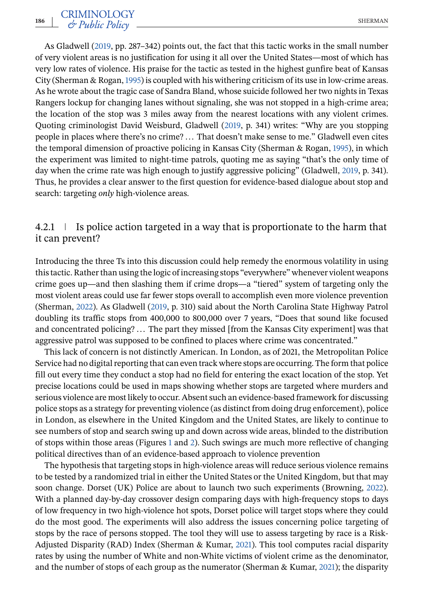As Gladwell [\(2019,](#page-19-0) pp. 287–342) points out, the fact that this tactic works in the small number of very violent areas is no justification for using it all over the United States—most of which has very low rates of violence. His praise for the tactic as tested in the highest gunfire beat of Kansas City (Sherman & Rogan,[1995\)](#page-20-0) is coupled with his withering criticism of its use in low-crime areas. As he wrote about the tragic case of Sandra Bland, whose suicide followed her two nights in Texas Rangers lockup for changing lanes without signaling, she was not stopped in a high-crime area; the location of the stop was 3 miles away from the nearest locations with any violent crimes. Quoting criminologist David Weisburd, Gladwell [\(2019,](#page-19-0) p. 341) writes: "Why are you stopping people in places where there's no crime? ... That doesn't make sense to me." Gladwell even cites the temporal dimension of proactive policing in Kansas City (Sherman & Rogan, [1995\)](#page-20-0), in which the experiment was limited to night-time patrols, quoting me as saying "that's the only time of day when the crime rate was high enough to justify aggressive policing" (Gladwell, [2019,](#page-19-0) p. 341). Thus, he provides a clear answer to the first question for evidence-based dialogue about stop and search: targeting *only* high-violence areas.

#### 4.2.1 I Is police action targeted in a way that is proportionate to the harm that it can prevent?

Introducing the three Ts into this discussion could help remedy the enormous volatility in using this tactic. Rather than using the logic of increasing stops "everywhere" whenever violent weapons crime goes up—and then slashing them if crime drops—a "tiered" system of targeting only the most violent areas could use far fewer stops overall to accomplish even more violence prevention (Sherman, [2022\)](#page-20-0). As Gladwell [\(2019,](#page-19-0) p. 310) said about the North Carolina State Highway Patrol doubling its traffic stops from 400,000 to 800,000 over 7 years, "Does that sound like focused and concentrated policing? ... The part they missed [from the Kansas City experiment] was that aggressive patrol was supposed to be confined to places where crime was concentrated."

This lack of concern is not distinctly American. In London, as of 2021, the Metropolitan Police Service had no digital reporting that can even track where stops are occurring. The form that police fill out every time they conduct a stop had no field for entering the exact location of the stop. Yet precise locations could be used in maps showing whether stops are targeted where murders and serious violence are most likely to occur. Absent such an evidence-based framework for discussing police stops as a strategy for preventing violence (as distinct from doing drug enforcement), police in London, as elsewhere in the United Kingdom and the United States, are likely to continue to see numbers of stop and search swing up and down across wide areas, blinded to the distribution of stops within those areas (Figures [1](#page-12-0) and [2\)](#page-12-0). Such swings are much more reflective of changing political directives than of an evidence-based approach to violence prevention

The hypothesis that targeting stops in high-violence areas will reduce serious violence remains to be tested by a randomized trial in either the United States or the United Kingdom, but that may soon change. Dorset (UK) Police are about to launch two such experiments (Browning, [2022\)](#page-18-0). With a planned day-by-day crossover design comparing days with high-frequency stops to days of low frequency in two high-violence hot spots, Dorset police will target stops where they could do the most good. The experiments will also address the issues concerning police targeting of stops by the race of persons stopped. The tool they will use to assess targeting by race is a Risk-Adjusted Disparity (RAD) Index (Sherman & Kumar, [2021\)](#page-20-0). This tool computes racial disparity rates by using the number of White and non-White victims of violent crime as the denominator, and the number of stops of each group as the numerator (Sherman & Kumar, [2021\)](#page-20-0); the disparity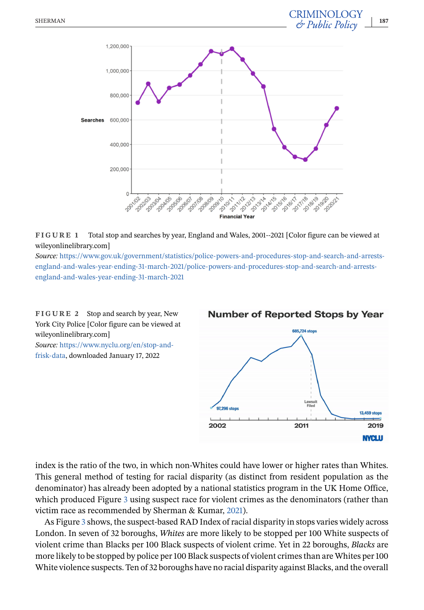<span id="page-12-0"></span>



*Source:* [https://www.gov.uk/government/statistics/police-powers-and-procedures-stop-and-search-and-arrests](https://www.gov.uk/government/statistics/police-powers-and-procedures-stop-and-search-and-arrests-england-and-wales-year-ending-31-march-2021/police-powers-and-procedures-stop-and-search-and-arrests-england-and-wales-year-ending-31-march-2021)[england-and-wales-year-ending-31-march-2021/police-powers-and-procedures-stop-and-search-and-arrests](https://www.gov.uk/government/statistics/police-powers-and-procedures-stop-and-search-and-arrests-england-and-wales-year-ending-31-march-2021/police-powers-and-procedures-stop-and-search-and-arrests-england-and-wales-year-ending-31-march-2021)[england-and-wales-year-ending-31-march-2021](https://www.gov.uk/government/statistics/police-powers-and-procedures-stop-and-search-and-arrests-england-and-wales-year-ending-31-march-2021/police-powers-and-procedures-stop-and-search-and-arrests-england-and-wales-year-ending-31-march-2021)

**FIGURE 2** Stop and search by year, New York City Police [Color figure can be viewed at wileyonlinelibrary.com] *Source:* [https://www.nyclu.org/en/stop-and-](https://www.nyclu.org/en/stop-and-frisk-data)

[frisk-data,](https://www.nyclu.org/en/stop-and-frisk-data) downloaded January 17, 2022



index is the ratio of the two, in which non-Whites could have lower or higher rates than Whites. This general method of testing for racial disparity (as distinct from resident population as the denominator) has already been adopted by a national statistics program in the UK Home Office, which produced Figure [3](#page-13-0) using suspect race for violent crimes as the denominators (rather than victim race as recommended by Sherman & Kumar, [2021\)](#page-20-0).

As Figure [3](#page-13-0) shows, the suspect-based RAD Index of racial disparity in stops varies widely across London. In seven of 32 boroughs, *Whites* are more likely to be stopped per 100 White suspects of violent crime than Blacks per 100 Black suspects of violent crime. Yet in 22 boroughs, *Blacks* are more likely to be stopped by police per 100 Black suspects of violent crimes than are Whites per 100 White violence suspects. Ten of 32 boroughs have no racial disparity against Blacks, and the overall

**Number of Reported Stops by Year** 

**CRIMINOLOGY**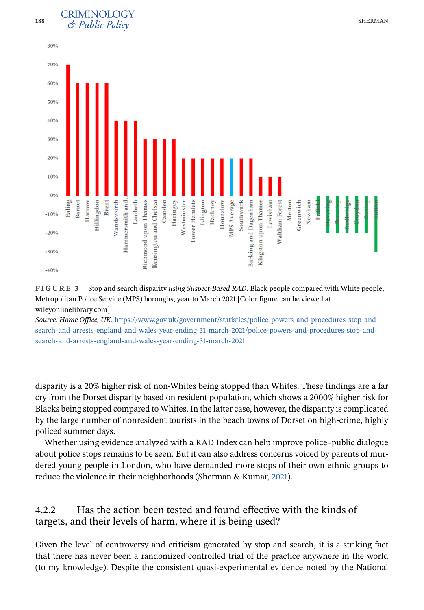<span id="page-13-0"></span>



*Source: Home Office, UK*. [https://www.gov.uk/government/statistics/police-powers-and-procedures-stop-and](https://www.gov.uk/government/statistics/police-powers-and-procedures-stop-and-search-and-arrests-england-and-wales-year-ending-31-march-2021/police-powers-and-procedures-stop-and-search-and-arrests-england-and-wales-year-ending-31-march-2021)[search-and-arrests-england-and-wales-year-ending-31-march-2021/police-powers-and-procedures-stop-and](https://www.gov.uk/government/statistics/police-powers-and-procedures-stop-and-search-and-arrests-england-and-wales-year-ending-31-march-2021/police-powers-and-procedures-stop-and-search-and-arrests-england-and-wales-year-ending-31-march-2021)[search-and-arrests-england-and-wales-year-ending-31-march-2021](https://www.gov.uk/government/statistics/police-powers-and-procedures-stop-and-search-and-arrests-england-and-wales-year-ending-31-march-2021/police-powers-and-procedures-stop-and-search-and-arrests-england-and-wales-year-ending-31-march-2021)

disparity is a 20% higher risk of non-Whites being stopped than Whites. These findings are a far cry from the Dorset disparity based on resident population, which shows a 2000% higher risk for Blacks being stopped compared to Whites. In the latter case, however, the disparity is complicated by the large number of nonresident tourists in the beach towns of Dorset on high-crime, highly policed summer days.

Whether using evidence analyzed with a RAD Index can help improve police–public dialogue about police stops remains to be seen. But it can also address concerns voiced by parents of murdered young people in London, who have demanded more stops of their own ethnic groups to reduce the violence in their neighborhoods (Sherman & Kumar, [2021\)](#page-20-0).

# $4.2.2$  Has the action been tested and found effective with the kinds of targets, and their levels of harm, where it is being used?

Given the level of controversy and criticism generated by stop and search, it is a striking fact that there has never been a randomized controlled trial of the practice anywhere in the world (to my knowledge). Despite the consistent quasi-experimental evidence noted by the National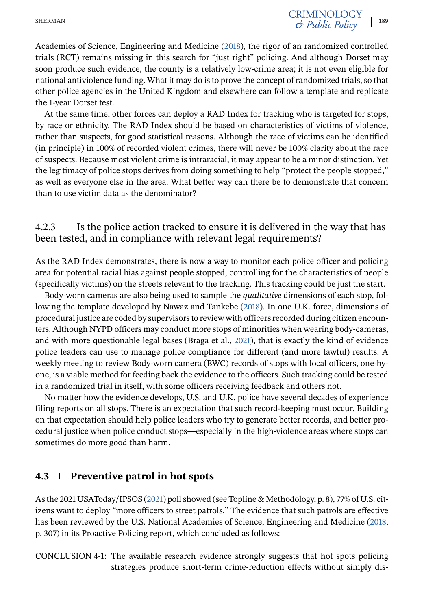Academies of Science, Engineering and Medicine [\(2018\)](#page-19-0), the rigor of an randomized controlled trials (RCT) remains missing in this search for "just right" policing. And although Dorset may soon produce such evidence, the county is a relatively low-crime area; it is not even eligible for national antiviolence funding. What it may do is to prove the concept of randomized trials, so that other police agencies in the United Kingdom and elsewhere can follow a template and replicate the 1-year Dorset test.

At the same time, other forces can deploy a RAD Index for tracking who is targeted for stops, by race or ethnicity. The RAD Index should be based on characteristics of victims of violence, rather than suspects, for good statistical reasons. Although the race of victims can be identified (in principle) in 100% of recorded violent crimes, there will never be 100% clarity about the race of suspects. Because most violent crime is intraracial, it may appear to be a minor distinction. Yet the legitimacy of police stops derives from doing something to help "protect the people stopped," as well as everyone else in the area. What better way can there be to demonstrate that concern than to use victim data as the denominator?

#### $4.2.3$  Is the police action tracked to ensure it is delivered in the way that has been tested, and in compliance with relevant legal requirements?

As the RAD Index demonstrates, there is now a way to monitor each police officer and policing area for potential racial bias against people stopped, controlling for the characteristics of people (specifically victims) on the streets relevant to the tracking. This tracking could be just the start.

Body-worn cameras are also being used to sample the *qualitative* dimensions of each stop, following the template developed by Nawaz and Tankebe [\(2018\)](#page-19-0). In one U.K. force, dimensions of procedural justice are coded by supervisors to review with officers recorded during citizen encounters. Although NYPD officers may conduct more stops of minorities when wearing body-cameras, and with more questionable legal bases (Braga et al., [2021\)](#page-18-0), that is exactly the kind of evidence police leaders can use to manage police compliance for different (and more lawful) results. A weekly meeting to review Body-worn camera (BWC) records of stops with local officers, one-byone, is a viable method for feeding back the evidence to the officers. Such tracking could be tested in a randomized trial in itself, with some officers receiving feedback and others not.

No matter how the evidence develops, U.S. and U.K. police have several decades of experience filing reports on all stops. There is an expectation that such record-keeping must occur. Building on that expectation should help police leaders who try to generate better records, and better procedural justice when police conduct stops—especially in the high-violence areas where stops can sometimes do more good than harm.

#### **4.3 Preventive patrol in hot spots**

As the 2021 USAToday/IPSOS [\(2021\)](#page-19-0) poll showed (see Topline & Methodology, p. 8), 77% of U.S. citizens want to deploy "more officers to street patrols." The evidence that such patrols are effective has been reviewed by the U.S. National Academies of Science, Engineering and Medicine [\(2018,](#page-19-0) p. 307) in its Proactive Policing report, which concluded as follows:

CONCLUSION 4-1: The available research evidence strongly suggests that hot spots policing strategies produce short-term crime-reduction effects without simply dis-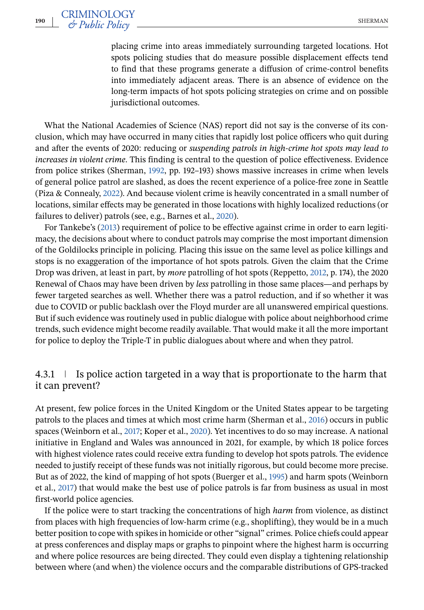placing crime into areas immediately surrounding targeted locations. Hot spots policing studies that do measure possible displacement effects tend to find that these programs generate a diffusion of crime-control benefits into immediately adjacent areas. There is an absence of evidence on the long-term impacts of hot spots policing strategies on crime and on possible jurisdictional outcomes.

What the National Academies of Science (NAS) report did not say is the converse of its conclusion, which may have occurred in many cities that rapidly lost police officers who quit during and after the events of 2020: reducing or *suspending patrols in high-crime hot spots may lead to increases in violent crime*. This finding is central to the question of police effectiveness. Evidence from police strikes (Sherman, [1992,](#page-20-0) pp. 192–193) shows massive increases in crime when levels of general police patrol are slashed, as does the recent experience of a police-free zone in Seattle (Piza & Connealy, [2022\)](#page-19-0). And because violent crime is heavily concentrated in a small number of locations, similar effects may be generated in those locations with highly localized reductions (or failures to deliver) patrols (see, e.g., Barnes et al., [2020\)](#page-18-0).

For Tankebe's [\(2013\)](#page-20-0) requirement of police to be effective against crime in order to earn legitimacy, the decisions about where to conduct patrols may comprise the most important dimension of the Goldilocks principle in policing. Placing this issue on the same level as police killings and stops is no exaggeration of the importance of hot spots patrols. Given the claim that the Crime Drop was driven, at least in part, by *more* patrolling of hot spots (Reppetto, [2012,](#page-19-0) p. 174), the 2020 Renewal of Chaos may have been driven by *less* patrolling in those same places—and perhaps by fewer targeted searches as well. Whether there was a patrol reduction, and if so whether it was due to COVID or public backlash over the Floyd murder are all unanswered empirical questions. But if such evidence was routinely used in public dialogue with police about neighborhood crime trends, such evidence might become readily available. That would make it all the more important for police to deploy the Triple-T in public dialogues about where and when they patrol.

#### 4.3.1 I Is police action targeted in a way that is proportionate to the harm that it can prevent?

At present, few police forces in the United Kingdom or the United States appear to be targeting patrols to the places and times at which most crime harm (Sherman et al., [2016\)](#page-20-0) occurs in public spaces (Weinborn et al., [2017;](#page-20-0) Koper et al., [2020\)](#page-19-0). Yet incentives to do so may increase. A national initiative in England and Wales was announced in 2021, for example, by which 18 police forces with highest violence rates could receive extra funding to develop hot spots patrols. The evidence needed to justify receipt of these funds was not initially rigorous, but could become more precise. But as of 2022, the kind of mapping of hot spots (Buerger et al., [1995\)](#page-18-0) and harm spots (Weinborn et al., [2017\)](#page-20-0) that would make the best use of police patrols is far from business as usual in most first-world police agencies.

If the police were to start tracking the concentrations of high *harm* from violence, as distinct from places with high frequencies of low-harm crime (e.g., shoplifting), they would be in a much better position to cope with spikes in homicide or other "signal" crimes. Police chiefs could appear at press conferences and display maps or graphs to pinpoint where the highest harm is occurring and where police resources are being directed. They could even display a tightening relationship between where (and when) the violence occurs and the comparable distributions of GPS-tracked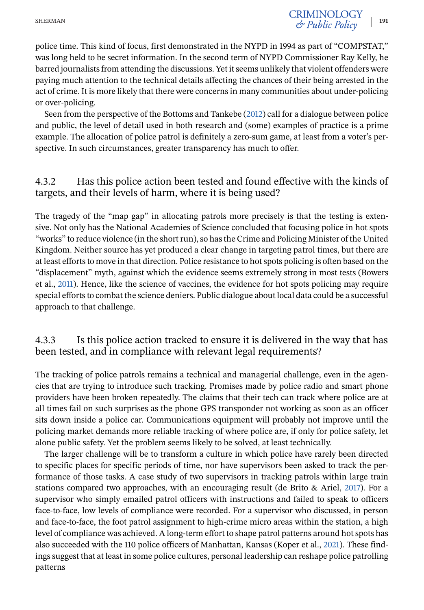police time. This kind of focus, first demonstrated in the NYPD in 1994 as part of "COMPSTAT," was long held to be secret information. In the second term of NYPD Commissioner Ray Kelly, he barred journalists from attending the discussions. Yet it seems unlikely that violent offenders were paying much attention to the technical details affecting the chances of their being arrested in the act of crime. It is more likely that there were concerns in many communities about under-policing or over-policing.

Seen from the perspective of the Bottoms and Tankebe [\(2012\)](#page-18-0) call for a dialogue between police and public, the level of detail used in both research and (some) examples of practice is a prime example. The allocation of police patrol is definitely a zero-sum game, at least from a voter's perspective. In such circumstances, greater transparency has much to offer.

# 4.3.2 **Has this police action been tested and found effective with the kinds of** targets, and their levels of harm, where it is being used?

The tragedy of the "map gap" in allocating patrols more precisely is that the testing is extensive. Not only has the National Academies of Science concluded that focusing police in hot spots "works" to reduce violence (in the short run), so has the Crime and Policing Minister of the United Kingdom. Neither source has yet produced a clear change in targeting patrol times, but there are at least efforts to move in that direction. Police resistance to hot spots policing is often based on the "displacement" myth, against which the evidence seems extremely strong in most tests (Bowers et al., [2011\)](#page-18-0). Hence, like the science of vaccines, the evidence for hot spots policing may require special efforts to combat the science deniers. Public dialogue about local data could be a successful approach to that challenge.

### $4.3.3$  Is this police action tracked to ensure it is delivered in the way that has been tested, and in compliance with relevant legal requirements?

The tracking of police patrols remains a technical and managerial challenge, even in the agencies that are trying to introduce such tracking. Promises made by police radio and smart phone providers have been broken repeatedly. The claims that their tech can track where police are at all times fail on such surprises as the phone GPS transponder not working as soon as an officer sits down inside a police car. Communications equipment will probably not improve until the policing market demands more reliable tracking of where police are, if only for police safety, let alone public safety. Yet the problem seems likely to be solved, at least technically.

The larger challenge will be to transform a culture in which police have rarely been directed to specific places for specific periods of time, nor have supervisors been asked to track the performance of those tasks. A case study of two supervisors in tracking patrols within large train stations compared two approaches, with an encouraging result (de Brito  $&$  Ariel, [2017\)](#page-19-0). For a supervisor who simply emailed patrol officers with instructions and failed to speak to officers face-to-face, low levels of compliance were recorded. For a supervisor who discussed, in person and face-to-face, the foot patrol assignment to high-crime micro areas within the station, a high level of compliance was achieved. A long-term effort to shape patrol patterns around hot spots has also succeeded with the 110 police officers of Manhattan, Kansas (Koper et al., [2021\)](#page-19-0). These findings suggest that at least in some police cultures, personal leadership can reshape police patrolling patterns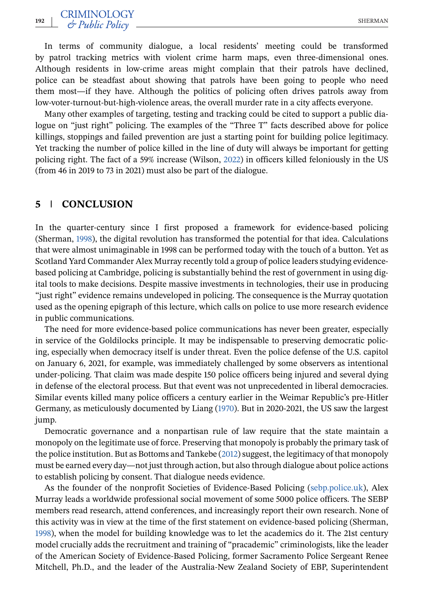In terms of community dialogue, a local residents' meeting could be transformed by patrol tracking metrics with violent crime harm maps, even three-dimensional ones. Although residents in low-crime areas might complain that their patrols have declined, police can be steadfast about showing that patrols have been going to people who need them most—if they have. Although the politics of policing often drives patrols away from low-voter-turnout-but-high-violence areas, the overall murder rate in a city affects everyone.

Many other examples of targeting, testing and tracking could be cited to support a public dialogue on "just right" policing. The examples of the "Three T" facts described above for police killings, stoppings and failed prevention are just a starting point for building police legitimacy. Yet tracking the number of police killed in the line of duty will always be important for getting policing right. The fact of a 59% increase (Wilson, [2022\)](#page-20-0) in officers killed feloniously in the US (from 46 in 2019 to 73 in 2021) must also be part of the dialogue.

#### **5 CONCLUSION**

In the quarter-century since I first proposed a framework for evidence-based policing (Sherman, [1998\)](#page-20-0), the digital revolution has transformed the potential for that idea. Calculations that were almost unimaginable in 1998 can be performed today with the touch of a button. Yet as Scotland Yard Commander Alex Murray recently told a group of police leaders studying evidencebased policing at Cambridge, policing is substantially behind the rest of government in using digital tools to make decisions. Despite massive investments in technologies, their use in producing "just right" evidence remains undeveloped in policing. The consequence is the Murray quotation used as the opening epigraph of this lecture, which calls on police to use more research evidence in public communications.

The need for more evidence-based police communications has never been greater, especially in service of the Goldilocks principle. It may be indispensable to preserving democratic policing, especially when democracy itself is under threat. Even the police defense of the U.S. capitol on January 6, 2021, for example, was immediately challenged by some observers as intentional under-policing. That claim was made despite 150 police officers being injured and several dying in defense of the electoral process. But that event was not unprecedented in liberal democracies. Similar events killed many police officers a century earlier in the Weimar Republic's pre-Hitler Germany, as meticulously documented by Liang [\(1970\)](#page-19-0). But in 2020-2021, the US saw the largest jump.

Democratic governance and a nonpartisan rule of law require that the state maintain a monopoly on the legitimate use of force. Preserving that monopoly is probably the primary task of the police institution. But as Bottoms and Tankebe [\(2012\)](#page-18-0) suggest, the legitimacy of that monopoly must be earned every day—not just through action, but also through dialogue about police actions to establish policing by consent. That dialogue needs evidence.

As the founder of the nonprofit Societies of Evidence-Based Policing [\(sebp.police.uk\)](http://sebp.police.uk), Alex Murray leads a worldwide professional social movement of some 5000 police officers. The SEBP members read research, attend conferences, and increasingly report their own research. None of this activity was in view at the time of the first statement on evidence-based policing (Sherman, [1998\)](#page-20-0), when the model for building knowledge was to let the academics do it. The 21st century model crucially adds the recruitment and training of "pracademic" criminologists, like the leader of the American Society of Evidence-Based Policing, former Sacramento Police Sergeant Renee Mitchell, Ph.D., and the leader of the Australia-New Zealand Society of EBP, Superintendent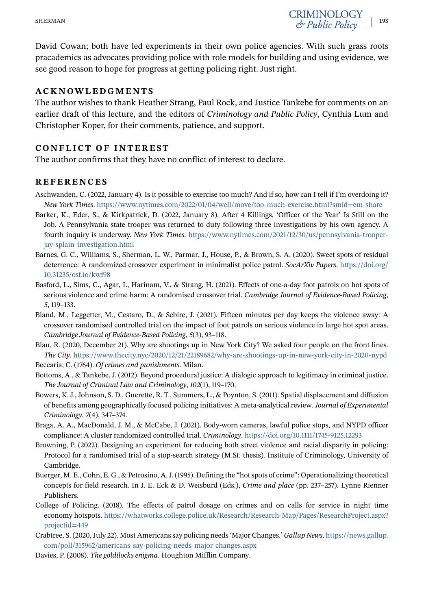<span id="page-18-0"></span>David Cowan; both have led experiments in their own police agencies. With such grass roots pracademics as advocates providing police with role models for building and using evidence, we see good reason to hope for progress at getting policing right. Just right.

#### **ACKNOWLEDGMENTS**

The author wishes to thank Heather Strang, Paul Rock, and Justice Tankebe for comments on an earlier draft of this lecture, and the editors of *Criminology and Public Policy*, Cynthia Lum and Christopher Koper, for their comments, patience, and support.

#### **CONFLICT OF INTEREST**

The author confirms that they have no conflict of interest to declare.

#### **REFERENCES**

- Aschwanden, C. (2022, January 4). Is it possible to exercise too much? And if so, how can I tell if I'm overdoing it? *New York Times*. <https://www.nytimes.com/2022/01/04/well/move/too-much-exercise.html?smid=em-share>
- Barker, K., Eder, S., & Kirkpatrick, D. (2022, January 8). After 4 Killings, 'Officer of the Year' Is Still on the Job. A Pennsylvania state trooper was returned to duty following three investigations by his own agency. A fourth inquiry is underway. *New York Times*. [https://www.nytimes.com/2021/12/30/us/pennsylvania-trooper](https://www.nytimes.com/2021/12/30/us/pennsylvania-trooper-jay-splain-investigation.html)[jay-splain-investigation.html](https://www.nytimes.com/2021/12/30/us/pennsylvania-trooper-jay-splain-investigation.html)
- Barnes, G. C., Williams, S., Sherman, L. W., Parmar, J., House, P., & Brown, S. A. (2020). Sweet spots of residual deterrence: A randomized crossover experiment in minimalist police patrol. *SocArXiv Papers*. [https://doi.org/](https://doi.org/10.31235/osf.io/kwf98) [10.31235/osf.io/kwf98](https://doi.org/10.31235/osf.io/kwf98)
- Basford, L., Sims, C., Agar, I., Harinam, V., & Strang, H. (2021). Effects of one-a-day foot patrols on hot spots of serious violence and crime harm: A randomised crossover trial. *Cambridge Journal of Evidence-Based Policing*, *5*, 119–133.
- Bland, M., Leggetter, M., Cestaro, D., & Sebire, J. (2021). Fifteen minutes per day keeps the violence away: A crossover randomised controlled trial on the impact of foot patrols on serious violence in large hot spot areas. *Cambridge Journal of Evidence-Based Policing*, *5*(3), 93–118.

Blau, R. (2020, December 21). Why are shootings up in New York City? We asked four people on the front lines. *The City*. <https://www.thecity.nyc/2020/12/21/22189682/why-are-shootings-up-in-new-york-city-in-2020-nypd>

Beccaria, C. (1764). *Of crimes and punishments*. Milan.

- Bottoms, A., & Tankebe, J. (2012). Beyond procedural justice: A dialogic approach to legitimacy in criminal justice. *The Journal of Criminal Law and Criminology*, *102*(1), 119–170.
- Bowers, K. J., Johnson, S. D., Guerette, R. T., Summers, L., & Poynton, S. (2011). Spatial displacement and diffusion of benefits among geographically focused policing initiatives: A meta-analytical review.*Journal of Experimental Criminology*, *7*(4), 347–374.
- Braga, A. A., MacDonald, J. M., & McCabe, J. (2021). Body-worn cameras, lawful police stops, and NYPD officer compliance: A cluster randomized controlled trial. *Criminology*. <https://doi.org/10.1111/1745-9125.12293>
- Browning, P. (2022). Designing an experiment for reducing both street violence and racial disparity in policing: Protocol for a randomised trial of a stop-search strategy (M.St. thesis). Institute of Criminology, University of Cambridge.
- Buerger, M. E., Cohn, E. G., & Petrosino, A. J. (1995). Defining the "hot spots of crime": Operationalizing theoretical concepts for field research. In J. E. Eck & D. Weisburd (Eds.), *Crime and place* (pp. 237–257). Lynne Rienner Publishers.
- College of Policing. (2018). The effects of patrol dosage on crimes and on calls for service in night time economy hotspots. [https://whatworks.college.police.uk/Research/Research-Map/Pages/ResearchProject.aspx?](https://whatworks.college.police.uk/Research/Research-Map/Pages/ResearchProject.aspx?projectid=449) [projectid=449](https://whatworks.college.police.uk/Research/Research-Map/Pages/ResearchProject.aspx?projectid=449)
- Crabtree, S. (2020, July 22). Most Americans say policing needs 'Major Changes.' *Gallup News*. [https://news.gallup.](https://news.gallup.com/poll/315962/americans-say-policing-needs-major-changes.aspx) [com/poll/315962/americans-say-policing-needs-major-changes.aspx](https://news.gallup.com/poll/315962/americans-say-policing-needs-major-changes.aspx)
- Davies, P. (2008). *The goldilocks enigma*. Houghton Mifflin Company.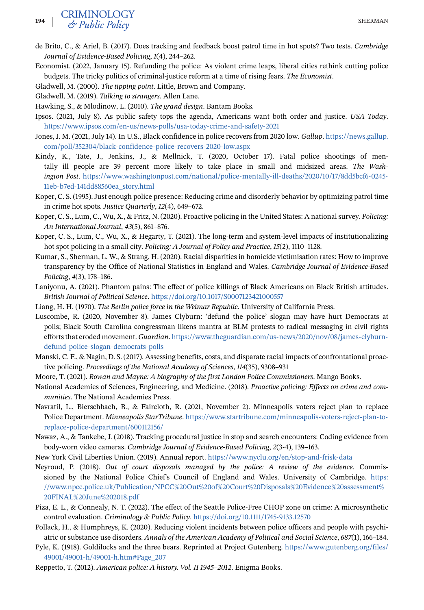- <span id="page-19-0"></span>de Brito, C., & Ariel, B. (2017). Does tracking and feedback boost patrol time in hot spots? Two tests. *Cambridge Journal of Evidence-Based Policing*, *1*(4), 244–262.
- Economist. (2022, January 15). Refunding the police: As violent crime leaps, liberal cities rethink cutting police budgets. The tricky politics of criminal-justice reform at a time of rising fears. *The Economist*.
- Gladwell, M. (2000). *The tipping point*. Little, Brown and Company.
- Gladwell, M. (2019). *Talking to strangers*. Allen Lane.
- Hawking, S., & Mlodinow, L. (2010). *The grand design*. Bantam Books.
- Ipsos. (2021, July 8). As public safety tops the agenda, Americans want both order and justice. *USA Today*. <https://www.ipsos.com/en-us/news-polls/usa-today-crime-and-safety-2021>
- Jones, J. M. (2021, July 14). In U.S., Black confidence in police recovers from 2020 low. *Gallup*. [https://news.gallup.](https://news.gallup.com/poll/352304/black-confidence-police-recovers-2020-low.aspx) [com/poll/352304/black-confidence-police-recovers-2020-low.aspx](https://news.gallup.com/poll/352304/black-confidence-police-recovers-2020-low.aspx)
- Kindy, K., Tate, J., Jenkins, J., & Mellnick, T. (2020, October 17). Fatal police shootings of mentally ill people are 39 percent more likely to take place in small and midsized areas. *The Washington Post*. [https://www.washingtonpost.com/national/police-mentally-ill-deaths/2020/10/17/8dd5bcf6-0245-](https://www.washingtonpost.com/national/police-mentally-ill-deaths/2020/10/17/8dd5bcf6-0245-11eb-b7ed-141dd88560ea_story.html) [11eb-b7ed-141dd88560ea\\_story.html](https://www.washingtonpost.com/national/police-mentally-ill-deaths/2020/10/17/8dd5bcf6-0245-11eb-b7ed-141dd88560ea_story.html)
- Koper, C. S. (1995). Just enough police presence: Reducing crime and disorderly behavior by optimizing patrol time in crime hot spots. *Justice Quarterly*, *12*(4), 649–672.
- Koper, C. S., Lum, C., Wu, X., & Fritz, N. (2020). Proactive policing in the United States: A national survey. *Policing: An International Journal*, *43*(5), 861–876.
- Koper, C. S., Lum, C., Wu, X., & Hegarty, T. (2021). The long-term and system-level impacts of institutionalizing hot spot policing in a small city. *Policing: A Journal of Policy and Practice*, *15*(2), 1110–1128.
- Kumar, S., Sherman, L. W., & Strang, H. (2020). Racial disparities in homicide victimisation rates: How to improve transparency by the Office of National Statistics in England and Wales. *Cambridge Journal of Evidence-Based Policing*, *4*(3), 178–186.
- Laniyonu, A. (2021). Phantom pains: The effect of police killings of Black Americans on Black British attitudes. *British Journal of Political Science*. <https://doi.org/10.1017/S0007123421000557>
- Liang, H. H. (1970). *The Berlin police force in the Weimar Republic*. University of California Press.
- Luscombe, R. (2020, November 8). James Clyburn: 'defund the police' slogan may have hurt Democrats at polls; Black South Carolina congressman likens mantra at BLM protests to radical messaging in civil rights efforts that eroded movement. *Guardian*. [https://www.theguardian.com/us-news/2020/nov/08/james-clyburn](https://www.theguardian.com/us-news/2020/nov/08/james-clyburn-defund-police-slogan-democrats-polls)[defund-police-slogan-democrats-polls](https://www.theguardian.com/us-news/2020/nov/08/james-clyburn-defund-police-slogan-democrats-polls)
- Manski, C. F., & Nagin, D. S. (2017). Assessing benefits, costs, and disparate racial impacts of confrontational proactive policing. *Proceedings of the National Academy of Sciences*, *114*(35), 9308–931
- Moore, T. (2021). *Rowan and Mayne: A biography of the first London Police Commissioners*. Mango Books.
- National Academies of Sciences, Engineering, and Medicine. (2018). *Proactive policing: Effects on crime and communities*. The National Academies Press.
- Navratil, L., Bierschbach, B., & Faircloth, R. (2021, November 2). Minneapolis voters reject plan to replace Police Department. *Minneapolis StarTribune*. [https://www.startribune.com/minneapolis-voters-reject-plan-to](https://www.startribune.com/minneapolis-voters-reject-plan-to-replace-police-department/600112156/)[replace-police-department/600112156/](https://www.startribune.com/minneapolis-voters-reject-plan-to-replace-police-department/600112156/)
- Nawaz, A., & Tankebe, J. (2018). Tracking procedural justice in stop and search encounters: Coding evidence from body-worn video cameras. *Cambridge Journal of Evidence-Based Policing*, *2*(3-4), 139–163.
- New York Civil Liberties Union. (2019). Annual report. <https://www.nyclu.org/en/stop-and-frisk-data>
- Neyroud, P. (2018). *Out of court disposals managed by the police: A review of the evidence*. Commissioned by the National Police Chief's Council of England and Wales. University of Cambridge. [https:](https://www.npcc.police.uk/Publication/NPCC%20Out%20of%20Court%20Disposals%20Evidence%20assessment%20FINAL%20June%202018.pdf) [//www.npcc.police.uk/Publication/NPCC%20Out%20of%20Court%20Disposals%20Evidence%20assessment%](https://www.npcc.police.uk/Publication/NPCC%20Out%20of%20Court%20Disposals%20Evidence%20assessment%20FINAL%20June%202018.pdf) [20FINAL%20June%202018.pdf](https://www.npcc.police.uk/Publication/NPCC%20Out%20of%20Court%20Disposals%20Evidence%20assessment%20FINAL%20June%202018.pdf)
- Piza, E. L., & Connealy, N. T. (2022). The effect of the Seattle Police-Free CHOP zone on crime: A microsynthetic control evaluation. *Criminology & Public Policy*. <https://doi.org/10.1111/1745-9133.12570>
- Pollack, H., & Humphreys, K. (2020). Reducing violent incidents between police officers and people with psychiatric or substance use disorders. *Annals of the American Academy of Political and Social Science*, *687*(1), 166–184.
- Pyle, K. (1918). Goldilocks and the three bears. Reprinted at Project Gutenberg. [https://www.gutenberg.org/files/](https://www.gutenberg.org/files/49001/49001-h/49001-h.htm#Page_207) [49001/49001-h/49001-h.htm#Page\\_207](https://www.gutenberg.org/files/49001/49001-h/49001-h.htm#Page_207)
- Reppetto, T. (2012). *American police: A history. Vol. II 1945–2012*. Enigma Books.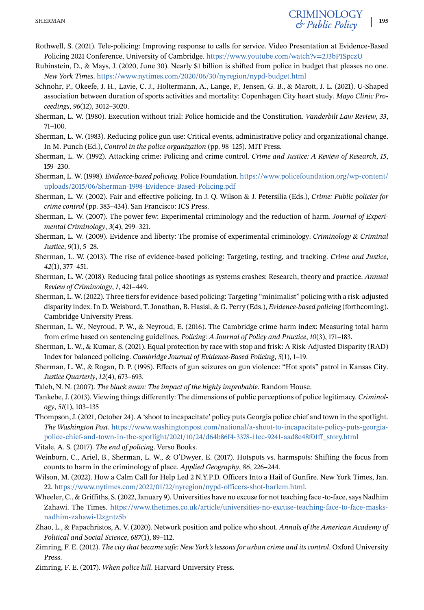- <span id="page-20-0"></span>Rubinstein, D., & Mays, J. (2020, June 30). Nearly \$1 billion is shifted from police in budget that pleases no one. *New York Times*. <https://www.nytimes.com/2020/06/30/nyregion/nypd-budget.html>
- Schnohr, P., Okeefe, J. H., Lavie, C. J., Holtermann, A., Lange, P., Jensen, G. B., & Marott, J. L. (2021). U-Shaped association between duration of sports activities and mortality: Copenhagen City heart study. *Mayo Clinic Proceedings*, *96*(12), 3012–3020.
- Sherman, L. W. (1980). Execution without trial: Police homicide and the Constitution. *Vanderbilt Law Review*, *33*, 71–100.
- Sherman, L. W. (1983). Reducing police gun use: Critical events, administrative policy and organizational change. In M. Punch (Ed.), *Control in the police organization* (pp. 98–125). MIT Press.
- Sherman, L. W. (1992). Attacking crime: Policing and crime control. *Crime and Justice: A Review of Research*, *15*, 159–230.
- Sherman, L. W. (1998). *Evidence-based policing*. Police Foundation. [https://www.policefoundation.org/wp-content/](https://www.policefoundation.org/wp-content/uploads/2015/06/Sherman-1998-Evidence-Based-Policing.pdf) [uploads/2015/06/Sherman-1998-Evidence-Based-Policing.pdf](https://www.policefoundation.org/wp-content/uploads/2015/06/Sherman-1998-Evidence-Based-Policing.pdf)
- Sherman, L. W. (2002). Fair and effective policing. In J. Q. Wilson & J. Petersilia (Eds.), *Crime: Public policies for crime control* (pp. 383–434). San Francisco: ICS Press.
- Sherman, L. W. (2007). The power few: Experimental criminology and the reduction of harm. *Journal of Experimental Criminology*, *3*(4), 299–321.
- Sherman, L. W. (2009). Evidence and liberty: The promise of experimental criminology. *Criminology & Criminal Justice*, *9*(1), 5–28.
- Sherman, L. W. (2013). The rise of evidence-based policing: Targeting, testing, and tracking. *Crime and Justice*, *42*(1), 377–451.
- Sherman, L. W. (2018). Reducing fatal police shootings as systems crashes: Research, theory and practice. *Annual Review of Criminology*, *1*, 421–449.
- Sherman, L. W. (2022). Three tiers for evidence-based policing: Targeting "minimalist" policing with a risk-adjusted disparity index. In D. Weisburd, T. Jonathan, B. Hasisi, & G. Perry (Eds.), *Evidence-based policing* (forthcoming). Cambridge University Press.
- Sherman, L. W., Neyroud, P. W., & Neyroud, E. (2016). The Cambridge crime harm index: Measuring total harm from crime based on sentencing guidelines. *Policing: A Journal of Policy and Practice*, *10*(3), 171–183.
- Sherman, L. W., & Kumar, S. (2021). Equal protection by race with stop and frisk: A Risk-Adjusted Disparity (RAD) Index for balanced policing. *Cambridge Journal of Evidence-Based Policing*, *5*(1), 1–19.
- Sherman, L. W., & Rogan, D. P. (1995). Effects of gun seizures on gun violence: "Hot spots" patrol in Kansas City. *Justice Quarterly*, *12*(4), 673–693.
- Taleb, N. N. (2007). *The black swan: The impact of the highly improbable*. Random House.
- Tankebe, J. (2013). Viewing things differently: The dimensions of public perceptions of police legitimacy. *Criminology*, *51*(1), 103–135
- Thompson, J. (2021, October 24). A 'shoot to incapacitate' policy puts Georgia police chief and town in the spotlight. *The Washington Post*. [https://www.washingtonpost.com/national/a-shoot-to-incapacitate-policy-puts-georgia](https://www.washingtonpost.com/national/a-shoot-to-incapacitate-policy-puts-georgia-police-chief-and-town-in-the-spotlight/2021/10/24/d64b86f4-3378-11ec-9241-aad8e48f01ff_story.html)[police-chief-and-town-in-the-spotlight/2021/10/24/d64b86f4-3378-11ec-9241-aad8e48f01ff\\_story.html](https://www.washingtonpost.com/national/a-shoot-to-incapacitate-policy-puts-georgia-police-chief-and-town-in-the-spotlight/2021/10/24/d64b86f4-3378-11ec-9241-aad8e48f01ff_story.html)
- Vitale, A. S. (2017). *The end of policing*. Verso Books.
- Weinborn, C., Ariel, B., Sherman, L. W., & O'Dwyer, E. (2017). Hotspots vs. harmspots: Shifting the focus from counts to harm in the criminology of place. *Applied Geography*, *86*, 226–244.
- Wilson, M. (2022). How a Calm Call for Help Led 2 N.Y.P.D. Officers Into a Hail of Gunfire. New York Times, Jan. 22. [https://www.nytimes.com/2022/01/22/nyregion/nypd-officers-shot-harlem.html.](https://www.nytimes.com/2022/01/22/nyregion/nypd-officers-shot-harlem.html)
- Wheeler, C., & Griffiths, S. (2022, January 9). Universities have no excuse for not teaching face -to-face, says Nadhim Zahawi. The Times. [https://www.thetimes.co.uk/article/universities-no-excuse-teaching-face-to-face-masks](https://www.thetimes.co.uk/article/universities-no-excuse-teaching-face-to-face-masks-nadhim-zahawi-l2zgntz5b)[nadhim-zahawi-l2zgntz5b](https://www.thetimes.co.uk/article/universities-no-excuse-teaching-face-to-face-masks-nadhim-zahawi-l2zgntz5b)
- Zhao, L., & Papachristos, A. V. (2020). Network position and police who shoot. *Annals of the American Academy of Political and Social Science*, *687*(1), 89–112.
- Zimring, F. E. (2012). *The city that became safe: New York's lessons for urban crime and its control*. Oxford University Press.
- Zimring, F. E. (2017). *When police kill*. Harvard University Press.